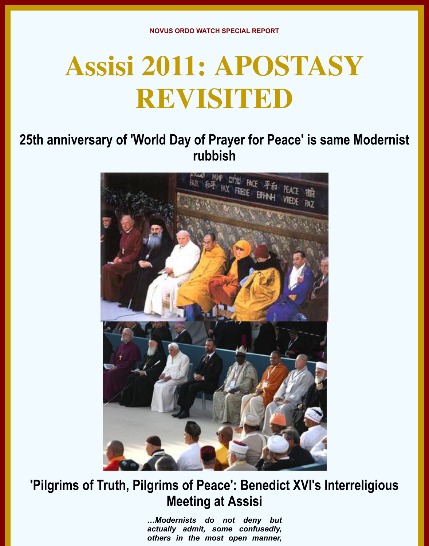# **Assisi 2011: APOSTASY REVISITED**

## **25th anniversary of 'World Day of Prayer for Peace' is same Modernist rubbish**



## **'Pilgrims of Truth, Pilgrims of Peace': Benedict XVI's Interreligious Meeting at Assisi**

*…Modernists do not deny but actually admit, some confusedly, others in the most open manner,*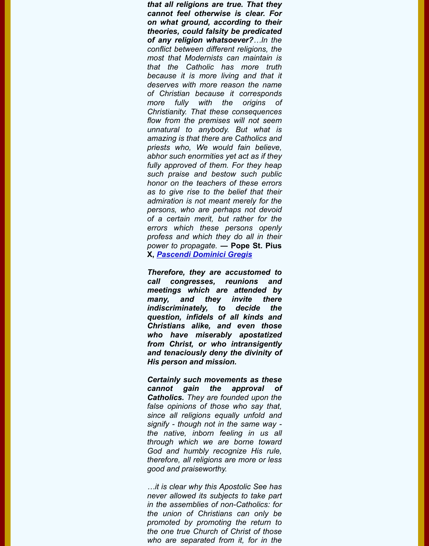*because it is more living and that it deserves with more reason the name of Christian because it corresponds more fully with the origins of Christianity. That these consequences flow from the premises will not seem unnatural to anybody. But what is amazing is that there are Catholics and priests who, We would fain believe, abhor such enormities yet act as if they fully approved of them. For they heap such praise and bestow such public honor on the teachers of these errors as to give rise to the belief that their admiration is not meant merely for the persons, who are perhaps not devoid of a certain merit, but rather for the errors which these persons openly profess and which they do all in their power to propagate.* **― Pope St. Pius X,** *Pascendi Dominici Gregis*

*Therefore, they are accustomed to call congresses, reunions and meetings which are attended by many, and they invite there indiscriminately, to decide the question, infidels of all kinds and C[hristians alike, and even](http://www.traditionalcatholic.net/Tradition/Pope/St_Pius_X/St_Pius_X/On_the_Doctrine_of_the_Modernists,_September_8,_1907.html) those who have miserably apostatized from Christ, or who intransigently and tenaciously deny the divinity of His person and mission.*

*Certainly such movements as these cannot gain the approval of Catholics. They are founded upon the false opinions of those who say that, since all religions equally unfold and signify - though not in the same way the native, inborn feeling in us all through which we are borne toward God and humbly recognize His rule, therefore, all religions are more or less good and praiseworthy.*

*…it is clear why this Apostolic See has never allowed its subjects to take part in the assemblies of non-Catholics: for the union of Christians can only be promoted by promoting the return to the one true Church of Christ of those who are separated from it, for in the*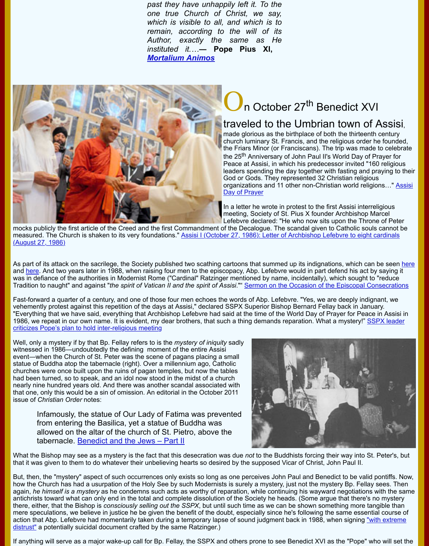

# n October 27<sup>th</sup> Benedict >

### traveled to the Umbrian town

made glorious as the birthplace of both the thirte church luminary St. Francis, and the religious order the Friars Minor (or Franciscans). The trip was m the 25<sup>th</sup> Anniversary of John Paul II's World Day Peace at Assisi, in which his predecessor invited leaders spending the day together with fasting are God or Gods. They represented 32 Christian relig organizations and 11 other non-Christian world re Day of Prayer

In a letter he wrote in protest to the first Assisi intermeeting, Society of St. Pius X founder Archbisho Lefebvre declared: "He who now sits upon the Th

mocks publicly the first article of the Creed and the first Commandment of the Decalogue. The scandal given to Catholic s measured. The Church is shaken to its very foundations." Assisi I (October 27, 1986): Letter of Archbishop Lefebvre to eig (August 27, 1986)

As part of its attack on the sacrilege, the Society published two scathing cartoons that summed up its indignations, which and here. And two years later in 1988, when raising four men to the episcopacy, Abp. Lefebvre would in part defend his a was in defiance of the authorities in Modernist Rome ("Cardinal" Ratzinger mentioned by name, incidentally), which sought Tradition to naught" and against "*the spirit of Vatican II and the spirit of Assisi*."" Sermon on the Occasion of the Episcopal

Fast-forward a quarter of a century, and one of those four men echoes the words of Abp. Lefebvre. "Yes, we are deeply in vehemently protest against this repetition of the days at Assisi," declared SSPX Superior Bishop Bernard Fellay back in Ja "Everything that we have said, everything that Archbishop Lefebvre had said at the time of the World Day of Prayer for Pe 1986, we repeat in our own name. It is evident, my dear brothers, that such a thing demands reparation. What a mystery!' criticizes Pope's plan to hold inter-religious meeting

Wel[l, only](http://www.sspx.org/images/PopeJPII/catechism_cartoon_apostasy.gif) a mystery if by that Bp. Fellay refers to is the *mystery of iniquity* sadly witnessed in 1986―undoubtedly the defining moment of the entire Assisi event―when the Church of St. Peter was the scene of pagans placing a small statue of Buddha atop the tabernacle (right). Over a millennium ago, Catholic churches were once built upon the ruins of pagan temples, but now the tables had been turned, so to speak, and an idol now stood in the midst of a church nearly nine hundred years old. And there was another scandal associated with [that one, only this would be a sin of omission. An editorial in the October 2011](http://www.catholicherald.co.uk/news/2011/01/12/sspx-leader-criticises-pope%E2%80%99s-plan-to-hold-inter-religious-meeting/) issue of *Christian Order* notes:

Infamously, the statue of Our Lady of Fatima was prevented from entering the Basilica, yet a statue of Buddha was allowed on the altar of the church of St. Pietro, above the tabernacle. Benedict and the Jews – Part II



What the Bishop may see as a mystery is the fact that this desecration was due *not* to the Buddhists forcing their way into that it was given to them to do whatever their unbelieving hearts so desired by the supposed Vicar of Christ, John Paul II.

But, then, the "mystery" aspect of such occurrences only exists so long as one perceives John Paul and Benedict to be va how the Church has had a usurpation of the Holy See by such Modernists is surely a mystery, just not the mystery Bp. Fe again, *he himself is a mystery* as he condemns such acts as worthy of reparation, while continuing his wayward negotiatio antichrists toward what can only end in the total and complete dissolution of the Society he heads. (Some argue that there there, either, that the Bishop is *consciously selling out the SSPX*, but until such time as we can be shown something more mere speculations, w[e believe in justice he be given the ben](http://www.christianorder.com/editorials/editorials_2011/editorials_oct11.html)efit of the doubt, especially since he's following the same ess action that Abp. Lefebvre had momentarily taken during a temporary lapse of sound judgment back in 1988, when signing distrust" a potentially suicidal document crafted by the same Ratzinger.)

If anything will serve as a major wake-up call for Bp. Fellay, the SSPX and others prone to see Benedict XVI as the "Pope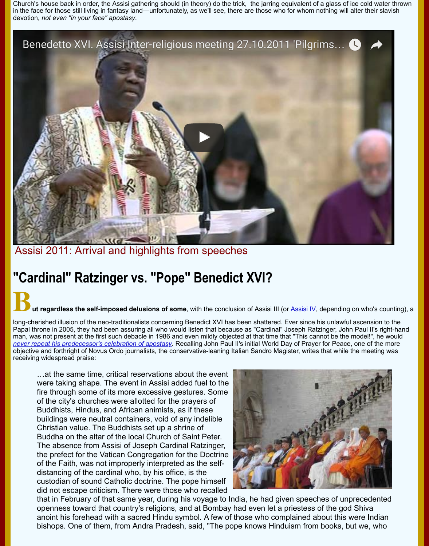

Assisi 2011: Arrival and highlights from speeches

# **"Cardinal" Ratzinger vs. "Pope" Benedict XVI?**

#### **ut regardless the self-imposed delusions of some**, with the conclusion of Assisi III (or <u>Assisi IV</u>, depending on w

long-cherished illusion of the neo-traditionalists concerning Benedict XVI has been shattered. Ever since his unlawful asce Papal throne in 2005, they had been assuring all who would listen that because as "Cardinal" Joseph Ratzinger, John Pau man, was not present at the first such debacle in 1986 and even mildly objected at that time that "This cannot be the mode *never repeat his predecessor's celebration of apostasy*. Recalling John Paul II's initial World Day of Prayer for Peace, one objective and forthright of Novus Ordo journalists, the conservative-leaning Italian Sandro Magister, writes that while the n receiving widespread praise:

…at the same time, critical reservations about the event were taking shape. The event in Assisi added fuel to the fire through some of its more excessive gestures. Some of the city's churches were allotted for the prayers of Buddhists, Hindus, and African animists, as if these [buildings were neutral containers, void o](http://www.traditioninaction.org/religious/m011rpRatzingerConcessions.html)f any indelible Christian value. The Buddhists set up a shrine of Buddha on the altar of the local Church of Saint Peter. The absence from Assisi of Joseph Cardinal Ratzinger, the prefect for the Vatican Congregation for the Doctrine of the Faith, was not improperly interpreted as the selfdistancing of the cardinal who, by his office, is the custodian of sound Catholic doctrine. The pope himself did not escape criticism. There were those who recalled



that in February of that same year, during his voyage to India, he had given speeches of unprece openness toward that country's religions, and at Bombay had even let a priestess of the god Shi anoint his forehead with a sacred Hindu symbol. A few of those who complained about this were bishops. One of them, from Andra Pradesh, said, "The pope knows Hinduism from books, but w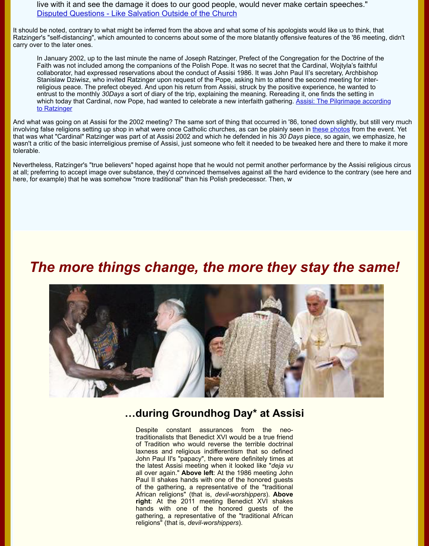collaborator, had expressed reservations about the conduct of Assisi 1986. It was John Paul II's secretary, Archbishop Stanislaw Dziwisz, who invited Ratzinger upon request of the Pope, asking him to attend the second meeting for i [religious peace. The prefect obeyed. And upon his return from Assisi,](http://chiesa.espresso.repubblica.it/articolo/19632&eng=y) struck by the positive experience, he wante entrust to the monthly 30Days a sort of diary of the trip, explaining the meaning. Rereading it, one finds the setting which today that Cardinal, now Pope, had wanted to celebrate a new interfaith gathering. Assisi: The Pilgrimage a to Ratzinger

And what was going on at Assisi for the 2002 meeting? The same sort of thing that occurred in '86, toned down slightly, but still but still very much still very much as the still very much as the still very much as the sti involving false religions setting up shop in what were once Catholic churches, as can be plainly seen in these photos from that was what "Cardinal" Ratzinger was part of at Assisi 2002 and which he defended in his 30 Days piece, so again, we e wasn't a critic of the basic interreligious premise of Assisi, just someone who felt it needed to be tweaked here and there t tolerable.

Nevertheless, Ratzinger's "true believers" hoped against hope that he would not permit another performance by the Assis at all; preferring to accept image over substance, they'd convinced themselves against all the hard evidence to the contra here, fo[r example\) that he was somehow "more traditional" than his Polish predecessor. Then, w](https://catholicismpure.wordpress.com/2011/10/20/assisi-the-pilgrimage-according-to-ratzinger)

## *The more things change, the more they stay the s*



#### **…during Groundhog Day\* at Assisi**

Despite constant assurances from the neotraditionalists that Benedict XVI would be a true friend of Tradition who would reverse the terrible doctrinal laxness and religious indifferentism that so defined John Paul II's "papacy", there were definitely times at the latest Assisi meeting when it looked like "*deja vu* all over again." **Above left**: At the 1986 meeting John Paul II shakes hands with one of the honored guests of the gathering, a representative of the "traditional African religions" (that is, *devil-worshippers*). **Above right**: At the 2011 meeting Benedict XVI shakes hands with one of the honored guests of the gathering, a representative of the "traditional African religions" (that is, *devil-worshippers*).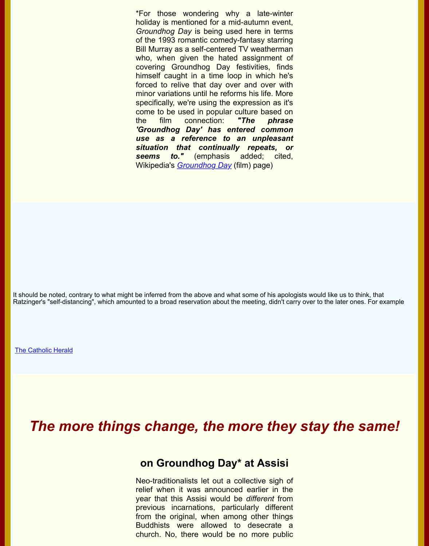himself caught in a time loop in which he's forced to relive that day over and over with minor variations until he reforms his life. More specifically, we're using the expression as it's come to be used in popular culture based on the film connection: *"The phrase 'Groundhog Day' has entered common use as a reference to an unpleasant situation that continually repeats, or* seems to." (emphasis added; cited. Wikipedia's *Groundhog Day* (film) page)

It should be noted, contrary to what might be inferred from the above and what some of his apologists would like us to thir Ratzinger's "self-distancing", which amounted to a broad reservation about the meeting, didn't carry over to the later ones

The Catholic Herald

## *[The mo](http://www.catholicherald.co.uk/news/2011/01/12/sspx-leader-criticises-pope%E2%80%99s-plan-to-hold-inter-religious-meeting/)re things change, the more they stay the s*

#### **on Groundhog Day\* at Assisi**

Neo-traditionalists let out a collective sigh of relief when it was announced earlier in the year that this Assisi would be *different* from previous incarnations, particularly different from the original, when among other things Buddhists were allowed to desecrate a church. No, there would be no more public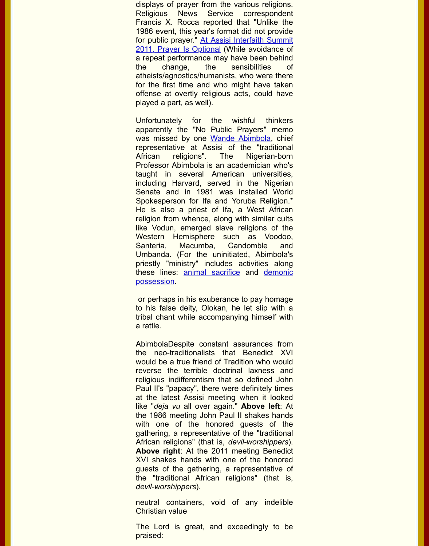atheists/agnostics/humanists, who were there for the first time and who might have taken offense at overtly religious acts, could have played a part, as well).

[Unfortunately for the wishful thinkers](http://htmediacenter.org/2011/10/at-assisi-interfaith-summit-2011-prayer-is-optional/) apparently the "No Public Prayers" memo was missed by one Wande Abimbola, chief representative at Assisi of the "traditional African religions". The Nigerian-born Professor Abimbola is an academician who's taught in several American universities, including Harvard, served in the Nigerian Senate and in 1981 was installed World Spokesperson for Ifa and Yoruba Religion.\* He is also a priest [of Ifa, a West A](http://en.wikipedia.org/wiki/Wande_Abimbola)frican religion from whence, along with similar cults like Vodun, emerged slave religions of the Western Hemisphere such as Voodoo, Santeria, Macumba, Candomble and Umbanda. (For the uninitiated, Abimbola's priestly "ministry" includes activities along these lines: animal sacrifice and demonic possession.

 or perhaps in his exuberance to pay homage to his false deity, Olokan, he let slip with a tribal chant while accompanying himself with a rattle.

AbimbolaDes[pite constant as](http://www.youtube.com/watch?v=Rp1r3dqhrDw)surances from [the neo-traditionalists that Benedict XVI](http://www.youtube.com/watch?v=nBsB3gooLlU&feature=results_video&playnext=1&list=PLC06F1E1AB59F2FEF) would be a true friend of Tradition who would reverse the terrible doctrinal laxness and religious indifferentism that so defined John Paul II's "papacy", there were definitely times at the latest Assisi meeting when it looked like "*deja vu* all over again." **Above left**: At the 1986 meeting John Paul II shakes hands with one of the honored guests of the gathering, a representative of the "traditional African religions" (that is, *devil-worshippers*). **Above right**: At the 2011 meeting Benedict XVI shakes hands with one of the honored guests of the gathering, a representative of the "traditional African religions" (that is, *devil-worshippers*).

neutral containers, void of any indelible Christian value

The Lord is great, and exceedingly to be praised: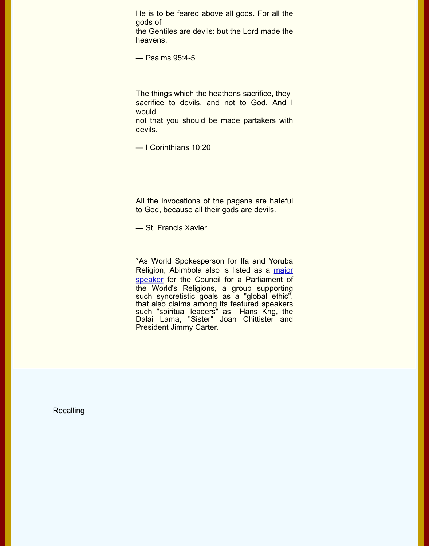The things which the heathens sacrifice, they sacrifice to devils, and not to God. And I would

not that you should be made partakers with devils.

— I Corinthians 10:20

All the invocations of the pagans are hateful to God, because all their gods are devils.

— St. Francis Xavier

\*As World Spokesperson for Ifa and Yoruba Religion, Abimbola also is listed as a major speaker for the Council for a Parliament of the World's Religions, a group supporting such syncretistic goals as a "global ethic". that also claims among its featured speakers such "spiritual leaders" as Hans Kng, the Dalai Lama, "Sister" Joan Chittister and President Jimmy Carter.

**Recalling**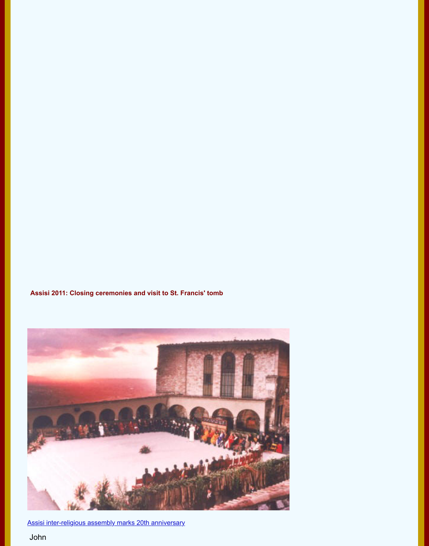**Assisi 2011: Closing ceremonies and visit to St. Francis' tomb**



Assisi inter-religious assembly marks 20th anniversary

John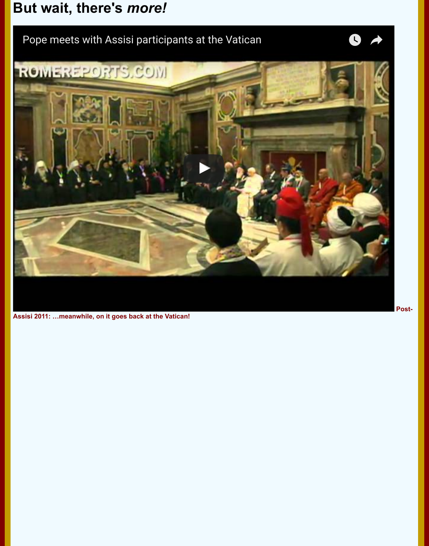

**Assisi 2011: …meanwhile, on it goes back at the Vatican!**